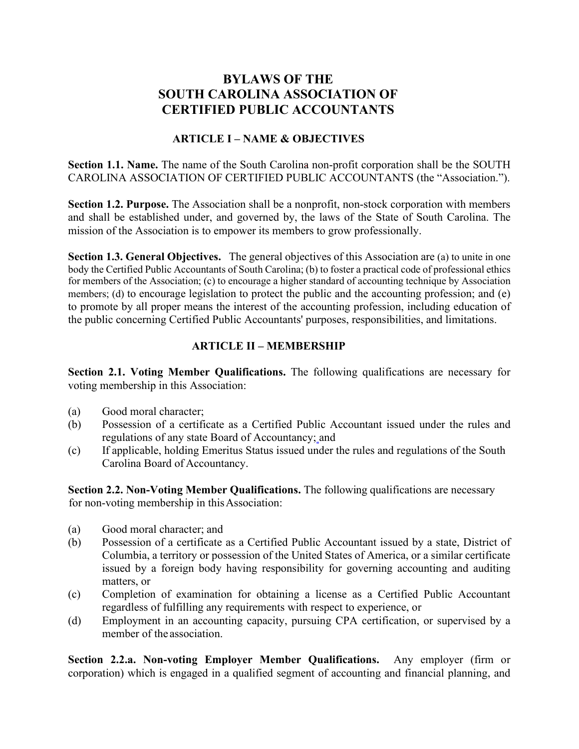# **BYLAWS OF THE SOUTH CAROLINA ASSOCIATION OF CERTIFIED PUBLIC ACCOUNTANTS**

#### **ARTICLE I – NAME & OBJECTIVES**

**Section 1.1. Name.** The name of the South Carolina non-profit corporation shall be the SOUTH CAROLINA ASSOCIATION OF CERTIFIED PUBLIC ACCOUNTANTS (the "Association.").

**Section 1.2. Purpose.** The Association shall be a nonprofit, non-stock corporation with members and shall be established under, and governed by, the laws of the State of South Carolina. The mission of the Association is to empower its members to grow professionally.

**Section 1.3. General Objectives.** The general objectives of this Association are (a) to unite in one body the Certified Public Accountants of South Carolina; (b) to foster a practical code of professional ethics for members of the Association; (c) to encourage a higher standard of accounting technique by Association members; (d) to encourage legislation to protect the public and the accounting profession; and (e) to promote by all proper means the interest of the accounting profession, including education of the public concerning Certified Public Accountants' purposes, responsibilities, and limitations.

#### **ARTICLE II – MEMBERSHIP**

**Section 2.1. Voting Member Qualifications.** The following qualifications are necessary for voting membership in this Association:

- (a) Good moral character;
- (b) Possession of a certificate as a Certified Public Accountant issued under the rules and regulations of any state Board of Accountancy; and
- (c) If applicable, holding Emeritus Status issued under the rules and regulations of the South Carolina Board of Accountancy.

**Section 2.2. Non-Voting Member Qualifications.** The following qualifications are necessary for non-voting membership in this Association:

- (a) Good moral character; and
- (b) Possession of a certificate as a Certified Public Accountant issued by a state, District of Columbia, a territory or possession of the United States of America, or a similar certificate issued by a foreign body having responsibility for governing accounting and auditing matters, or
- (c) Completion of examination for obtaining a license as a Certified Public Accountant regardless of fulfilling any requirements with respect to experience, or
- (d) Employment in an accounting capacity, pursuing CPA certification, or supervised by a member of the association.

**Section 2.2.a. Non-voting Employer Member Qualifications.** Any employer (firm or corporation) which is engaged in a qualified segment of accounting and financial planning, and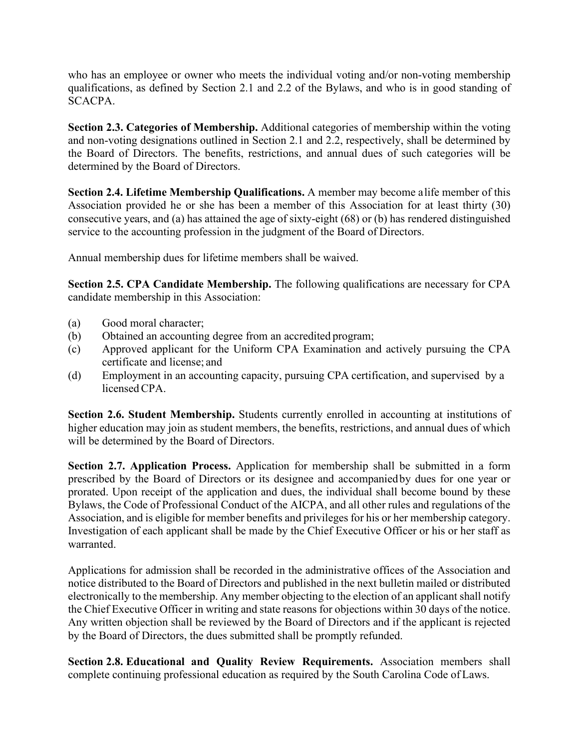who has an employee or owner who meets the individual voting and/or non-voting membership qualifications, as defined by Section 2.1 and 2.2 of the Bylaws, and who is in good standing of SCACPA.

**Section 2.3. Categories of Membership.** Additional categories of membership within the voting and non-voting designations outlined in Section 2.1 and 2.2, respectively, shall be determined by the Board of Directors. The benefits, restrictions, and annual dues of such categories will be determined by the Board of Directors.

**Section 2.4. Lifetime Membership Qualifications.** A member may become alife member of this Association provided he or she has been a member of this Association for at least thirty (30) consecutive years, and (a) has attained the age of sixty-eight (68) or (b) has rendered distinguished service to the accounting profession in the judgment of the Board of Directors.

Annual membership dues for lifetime members shall be waived.

**Section 2.5. CPA Candidate Membership.** The following qualifications are necessary for CPA candidate membership in this Association:

- (a) Good moral character;
- (b) Obtained an accounting degree from an accredited program;
- (c) Approved applicant for the Uniform CPA Examination and actively pursuing the CPA certificate and license; and
- (d) Employment in an accounting capacity, pursuing CPA certification, and supervised by a licensed CPA.

**Section 2.6. Student Membership.** Students currently enrolled in accounting at institutions of higher education may join as student members, the benefits, restrictions, and annual dues of which will be determined by the Board of Directors.

**Section 2.7. Application Process.** Application for membership shall be submitted in a form prescribed by the Board of Directors or its designee and accompaniedby dues for one year or prorated. Upon receipt of the application and dues, the individual shall become bound by these Bylaws, the Code of Professional Conduct of the AICPA, and all other rules and regulations of the Association, and is eligible for member benefits and privileges for his or her membership category. Investigation of each applicant shall be made by the Chief Executive Officer or his or her staff as warranted.

Applications for admission shall be recorded in the administrative offices of the Association and notice distributed to the Board of Directors and published in the next bulletin mailed or distributed electronically to the membership. Any member objecting to the election of an applicant shall notify the Chief Executive Officer in writing and state reasons for objections within 30 days of the notice. Any written objection shall be reviewed by the Board of Directors and if the applicant is rejected by the Board of Directors, the dues submitted shall be promptly refunded.

**Section 2.8. Educational and Quality Review Requirements.** Association members shall complete continuing professional education as required by the South Carolina Code of Laws.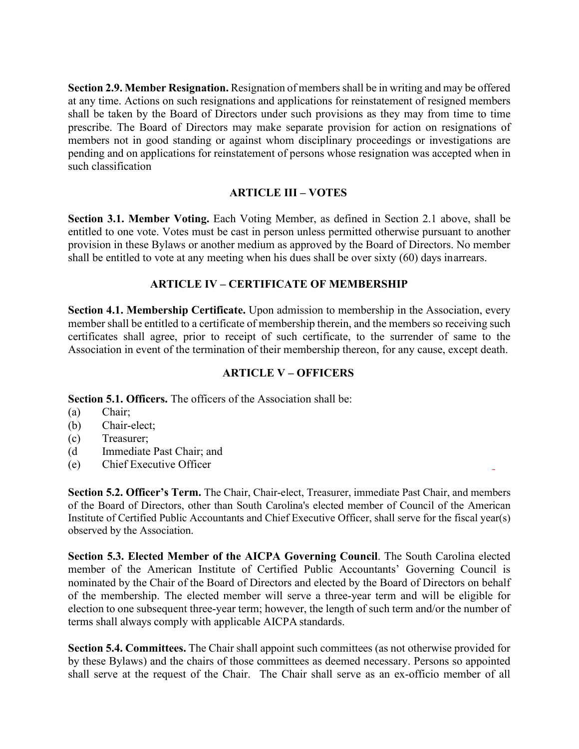**Section 2.9. Member Resignation.** Resignation of members shall be in writing and may be offered at any time. Actions on such resignations and applications for reinstatement of resigned members shall be taken by the Board of Directors under such provisions as they may from time to time prescribe. The Board of Directors may make separate provision for action on resignations of members not in good standing or against whom disciplinary proceedings or investigations are pending and on applications for reinstatement of persons whose resignation was accepted when in such classification

### **ARTICLE III – VOTES**

**Section 3.1. Member Voting.** Each Voting Member, as defined in Section 2.1 above, shall be entitled to one vote. Votes must be cast in person unless permitted otherwise pursuant to another provision in these Bylaws or another medium as approved by the Board of Directors. No member shall be entitled to vote at any meeting when his dues shall be over sixty (60) days inarrears.

#### **ARTICLE IV – CERTIFICATE OF MEMBERSHIP**

**Section 4.1. Membership Certificate.** Upon admission to membership in the Association, every member shall be entitled to a certificate of membership therein, and the members so receiving such certificates shall agree, prior to receipt of such certificate, to the surrender of same to the Association in event of the termination of their membership thereon, for any cause, except death.

#### **ARTICLE V – OFFICERS**

**Section 5.1. Officers.** The officers of the Association shall be:

- (a) Chair;
- (b) Chair-elect;
- (c) Treasurer;
- (d Immediate Past Chair; and
- (e) Chief Executive Officer

**Section 5.2. Officer's Term.** The Chair, Chair-elect, Treasurer, immediate Past Chair, and members of the Board of Directors, other than South Carolina's elected member of Council of the American Institute of Certified Public Accountants and Chief Executive Officer, shall serve for the fiscal year(s) observed by the Association.

**Section 5.3. Elected Member of the AICPA Governing Council**. The South Carolina elected member of the American Institute of Certified Public Accountants' Governing Council is nominated by the Chair of the Board of Directors and elected by the Board of Directors on behalf of the membership. The elected member will serve a three-year term and will be eligible for election to one subsequent three-year term; however, the length of such term and/or the number of terms shall always comply with applicable AICPA standards.

**Section 5.4. Committees.** The Chair shall appoint such committees (as not otherwise provided for by these Bylaws) and the chairs of those committees as deemed necessary. Persons so appointed shall serve at the request of the Chair. The Chair shall serve as an ex-officio member of all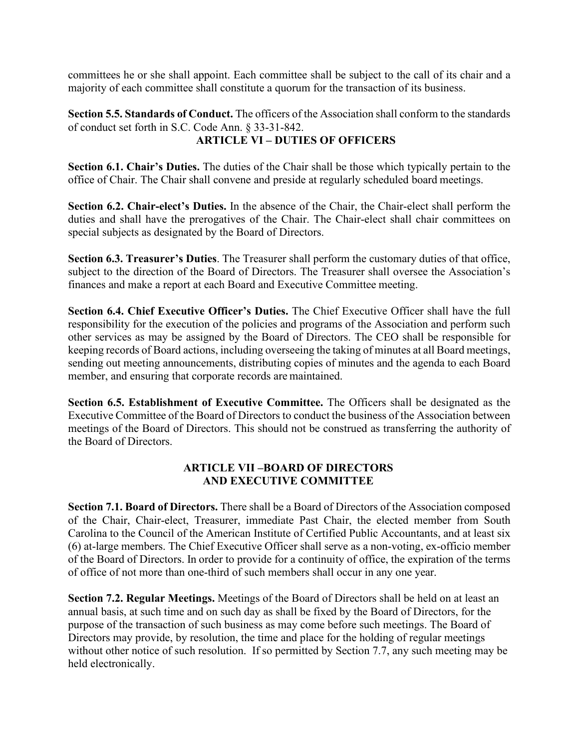committees he or she shall appoint. Each committee shall be subject to the call of its chair and a majority of each committee shall constitute a quorum for the transaction of its business.

**Section 5.5. Standards of Conduct.** The officers of the Association shall conform to the standards of conduct set forth in S.C. Code Ann. § 33-31-842.

# **ARTICLE VI – DUTIES OF OFFICERS**

**Section 6.1. Chair's Duties.** The duties of the Chair shall be those which typically pertain to the office of Chair. The Chair shall convene and preside at regularly scheduled board meetings.

**Section 6.2. Chair-elect's Duties.** In the absence of the Chair, the Chair-elect shall perform the duties and shall have the prerogatives of the Chair. The Chair-elect shall chair committees on special subjects as designated by the Board of Directors.

**Section 6.3. Treasurer's Duties**. The Treasurer shall perform the customary duties of that office, subject to the direction of the Board of Directors. The Treasurer shall oversee the Association's finances and make a report at each Board and Executive Committee meeting.

**Section 6.4. Chief Executive Officer's Duties.** The Chief Executive Officer shall have the full responsibility for the execution of the policies and programs of the Association and perform such other services as may be assigned by the Board of Directors. The CEO shall be responsible for keeping records of Board actions, including overseeing the taking of minutes at all Board meetings, sending out meeting announcements, distributing copies of minutes and the agenda to each Board member, and ensuring that corporate records are maintained.

**Section 6.5. Establishment of Executive Committee.** The Officers shall be designated as the Executive Committee of the Board of Directors to conduct the business of the Association between meetings of the Board of Directors. This should not be construed as transferring the authority of the Board of Directors.

#### **ARTICLE VII –BOARD OF DIRECTORS AND EXECUTIVE COMMITTEE**

**Section 7.1. Board of Directors.** There shall be a Board of Directors of the Association composed of the Chair, Chair-elect, Treasurer, immediate Past Chair, the elected member from South Carolina to the Council of the American Institute of Certified Public Accountants, and at least six (6) at-large members. The Chief Executive Officer shall serve as a non-voting, ex-officio member of the Board of Directors. In order to provide for a continuity of office, the expiration of the terms of office of not more than one-third of such members shall occur in any one year.

**Section 7.2. Regular Meetings.** Meetings of the Board of Directors shall be held on at least an annual basis, at such time and on such day as shall be fixed by the Board of Directors, for the purpose of the transaction of such business as may come before such meetings. The Board of Directors may provide, by resolution, the time and place for the holding of regular meetings without other notice of such resolution. If so permitted by Section 7.7, any such meeting may be held electronically.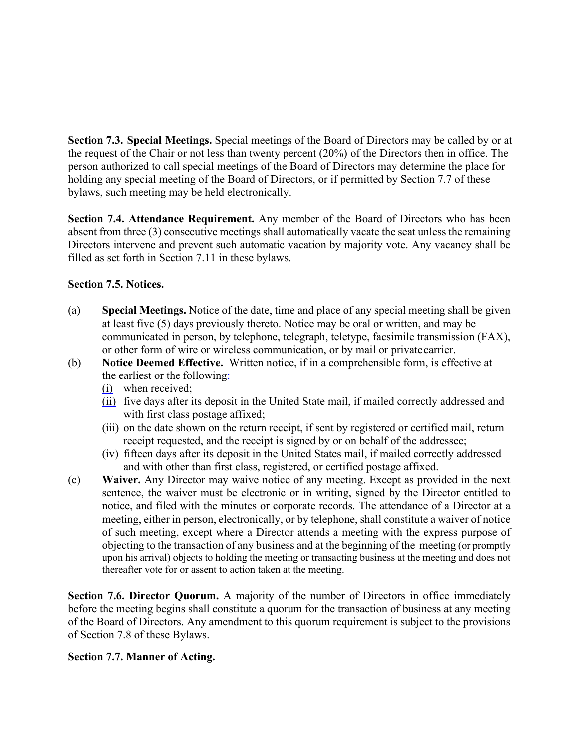**Section 7.3. Special Meetings.** Special meetings of the Board of Directors may be called by or at the request of the Chair or not less than twenty percent (20%) of the Directors then in office. The person authorized to call special meetings of the Board of Directors may determine the place for holding any special meeting of the Board of Directors, or if permitted by Section 7.7 of these bylaws, such meeting may be held electronically.

**Section 7.4. Attendance Requirement.** Any member of the Board of Directors who has been absent from three (3) consecutive meetings shall automatically vacate the seat unless the remaining Directors intervene and prevent such automatic vacation by majority vote. Any vacancy shall be filled as set forth in Section 7.11 in these bylaws.

### **Section 7.5. Notices.**

- (a) **Special Meetings.** Notice of the date, time and place of any special meeting shall be given at least five (5) days previously thereto. Notice may be oral or written, and may be communicated in person, by telephone, telegraph, teletype, facsimile transmission (FAX), or other form of wire or wireless communication, or by mail or privatecarrier.
- (b) **Notice Deemed Effective.** Written notice, if in a comprehensible form, is effective at the earliest or the following:
	- (i) when received;
	- (ii) five days after its deposit in the United State mail, if mailed correctly addressed and with first class postage affixed;
	- (iii) on the date shown on the return receipt, if sent by registered or certified mail, return receipt requested, and the receipt is signed by or on behalf of the addressee;
	- (iv) fifteen days after its deposit in the United States mail, if mailed correctly addressed and with other than first class, registered, or certified postage affixed.
- (c) **Waiver.** Any Director may waive notice of any meeting. Except as provided in the next sentence, the waiver must be electronic or in writing, signed by the Director entitled to notice, and filed with the minutes or corporate records. The attendance of a Director at a meeting, either in person, electronically, or by telephone, shall constitute a waiver of notice of such meeting, except where a Director attends a meeting with the express purpose of objecting to the transaction of any business and at the beginning of the meeting (or promptly upon his arrival) objects to holding the meeting or transacting business at the meeting and does not thereafter vote for or assent to action taken at the meeting.

**Section 7.6. Director Quorum.** A majority of the number of Directors in office immediately before the meeting begins shall constitute a quorum for the transaction of business at any meeting of the Board of Directors. Any amendment to this quorum requirement is subject to the provisions of Section 7.8 of these Bylaws.

### **Section 7.7. Manner of Acting.**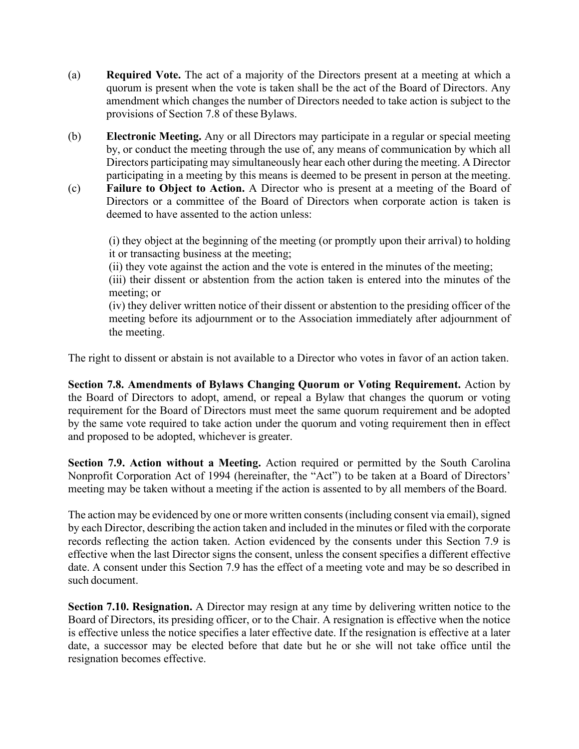- (a) **Required Vote.** The act of a majority of the Directors present at a meeting at which a quorum is present when the vote is taken shall be the act of the Board of Directors. Any amendment which changes the number of Directors needed to take action is subject to the provisions of Section 7.8 of these Bylaws.
- (b) **Electronic Meeting.** Any or all Directors may participate in a regular or special meeting by, or conduct the meeting through the use of, any means of communication by which all Directors participating may simultaneously hear each other during the meeting. A Director participating in a meeting by this means is deemed to be present in person at the meeting.
- (c) **Failure to Object to Action.** A Director who is present at a meeting of the Board of Directors or a committee of the Board of Directors when corporate action is taken is deemed to have assented to the action unless:

(i) they object at the beginning of the meeting (or promptly upon their arrival) to holding it or transacting business at the meeting;

(ii) they vote against the action and the vote is entered in the minutes of the meeting;

(iii) their dissent or abstention from the action taken is entered into the minutes of the meeting; or

(iv) they deliver written notice of their dissent or abstention to the presiding officer of the meeting before its adjournment or to the Association immediately after adjournment of the meeting.

The right to dissent or abstain is not available to a Director who votes in favor of an action taken.

**Section 7.8. Amendments of Bylaws Changing Quorum or Voting Requirement.** Action by the Board of Directors to adopt, amend, or repeal a Bylaw that changes the quorum or voting requirement for the Board of Directors must meet the same quorum requirement and be adopted by the same vote required to take action under the quorum and voting requirement then in effect and proposed to be adopted, whichever is greater.

**Section 7.9. Action without a Meeting.** Action required or permitted by the South Carolina Nonprofit Corporation Act of 1994 (hereinafter, the "Act") to be taken at a Board of Directors' meeting may be taken without a meeting if the action is assented to by all members of the Board.

The action may be evidenced by one or more written consents (including consent via email), signed by each Director, describing the action taken and included in the minutes or filed with the corporate records reflecting the action taken. Action evidenced by the consents under this Section 7.9 is effective when the last Director signs the consent, unless the consent specifies a different effective date. A consent under this Section 7.9 has the effect of a meeting vote and may be so described in such document.

**Section 7.10. Resignation.** A Director may resign at any time by delivering written notice to the Board of Directors, its presiding officer, or to the Chair. A resignation is effective when the notice is effective unless the notice specifies a later effective date. If the resignation is effective at a later date, a successor may be elected before that date but he or she will not take office until the resignation becomes effective.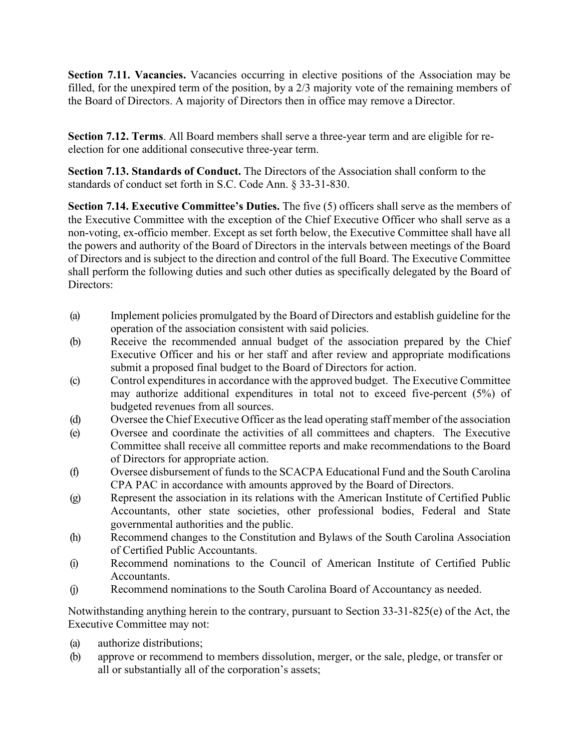**Section 7.11. Vacancies.** Vacancies occurring in elective positions of the Association may be filled, for the unexpired term of the position, by a 2/3 majority vote of the remaining members of the Board of Directors. A majority of Directors then in office may remove a Director.

**Section 7.12. Terms**. All Board members shall serve a three-year term and are eligible for reelection for one additional consecutive three-year term.

**Section 7.13. Standards of Conduct.** The Directors of the Association shall conform to the standards of conduct set forth in S.C. Code Ann. § 33-31-830.

**Section 7.14. Executive Committee's Duties.** The five (5) officers shall serve as the members of the Executive Committee with the exception of the Chief Executive Officer who shall serve as a non-voting, ex-officio member. Except as set forth below, the Executive Committee shall have all the powers and authority of the Board of Directors in the intervals between meetings of the Board of Directors and is subject to the direction and control of the full Board. The Executive Committee shall perform the following duties and such other duties as specifically delegated by the Board of Directors:

- (a) Implement policies promulgated by the Board of Directors and establish guideline for the operation of the association consistent with said policies.
- (b) Receive the recommended annual budget of the association prepared by the Chief Executive Officer and his or her staff and after review and appropriate modifications submit a proposed final budget to the Board of Directors for action.
- (c) Control expenditures in accordance with the approved budget. The Executive Committee may authorize additional expenditures in total not to exceed five-percent (5%) of budgeted revenues from all sources.
- (d) Oversee the Chief Executive Officer as the lead operating staff member of the association
- (e) Oversee and coordinate the activities of all committees and chapters. The Executive Committee shall receive all committee reports and make recommendations to the Board of Directors for appropriate action.
- (f) Oversee disbursement of funds to the SCACPA Educational Fund and the South Carolina CPA PAC in accordance with amounts approved by the Board of Directors.
- (g) Represent the association in its relations with the American Institute of Certified Public Accountants, other state societies, other professional bodies, Federal and State governmental authorities and the public.
- (h) Recommend changes to the Constitution and Bylaws of the South Carolina Association of Certified Public Accountants.
- (i) Recommend nominations to the Council of American Institute of Certified Public Accountants.
- (j) Recommend nominations to the South Carolina Board of Accountancy as needed.

Notwithstanding anything herein to the contrary, pursuant to Section 33-31-825(e) of the Act, the Executive Committee may not:

- (a) authorize distributions;
- (b) approve or recommend to members dissolution, merger, or the sale, pledge, or transfer or all or substantially all of the corporation's assets;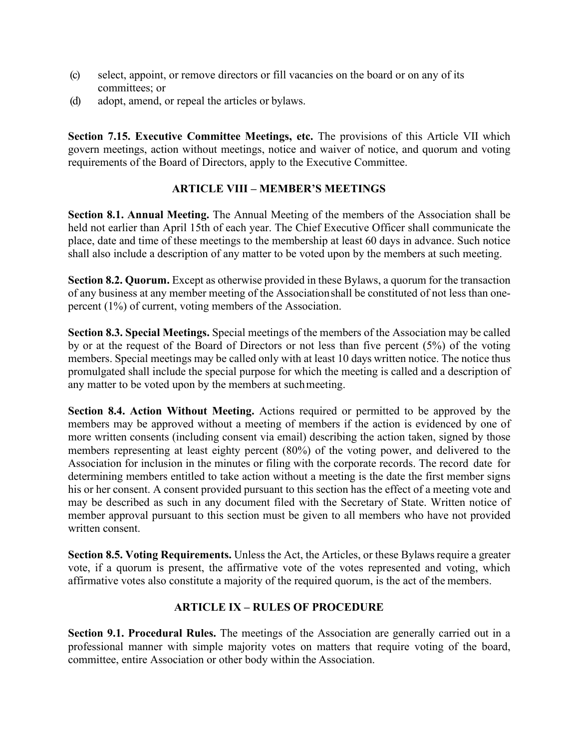- (c) select, appoint, or remove directors or fill vacancies on the board or on any of its committees; or
- (d) adopt, amend, or repeal the articles or bylaws.

**Section 7.15. Executive Committee Meetings, etc.** The provisions of this Article VII which govern meetings, action without meetings, notice and waiver of notice, and quorum and voting requirements of the Board of Directors, apply to the Executive Committee.

### **ARTICLE VIII – MEMBER'S MEETINGS**

**Section 8.1. Annual Meeting.** The Annual Meeting of the members of the Association shall be held not earlier than April 15th of each year. The Chief Executive Officer shall communicate the place, date and time of these meetings to the membership at least 60 days in advance. Such notice shall also include a description of any matter to be voted upon by the members at such meeting.

**Section 8.2. Quorum.** Except as otherwise provided in these Bylaws, a quorum for the transaction of any business at any member meeting of the Associationshall be constituted of not less than onepercent (1%) of current, voting members of the Association.

**Section 8.3. Special Meetings.** Special meetings of the members of the Association may be called by or at the request of the Board of Directors or not less than five percent (5%) of the voting members. Special meetings may be called only with at least 10 days written notice. The notice thus promulgated shall include the special purpose for which the meeting is called and a description of any matter to be voted upon by the members at suchmeeting.

**Section 8.4. Action Without Meeting.** Actions required or permitted to be approved by the members may be approved without a meeting of members if the action is evidenced by one of more written consents (including consent via email) describing the action taken, signed by those members representing at least eighty percent (80%) of the voting power, and delivered to the Association for inclusion in the minutes or filing with the corporate records. The record date for determining members entitled to take action without a meeting is the date the first member signs his or her consent. A consent provided pursuant to this section has the effect of a meeting vote and may be described as such in any document filed with the Secretary of State. Written notice of member approval pursuant to this section must be given to all members who have not provided written consent.

**Section 8.5. Voting Requirements.** Unless the Act, the Articles, or these Bylaws require a greater vote, if a quorum is present, the affirmative vote of the votes represented and voting, which affirmative votes also constitute a majority of the required quorum, is the act of the members.

### **ARTICLE IX – RULES OF PROCEDURE**

**Section 9.1. Procedural Rules.** The meetings of the Association are generally carried out in a professional manner with simple majority votes on matters that require voting of the board, committee, entire Association or other body within the Association.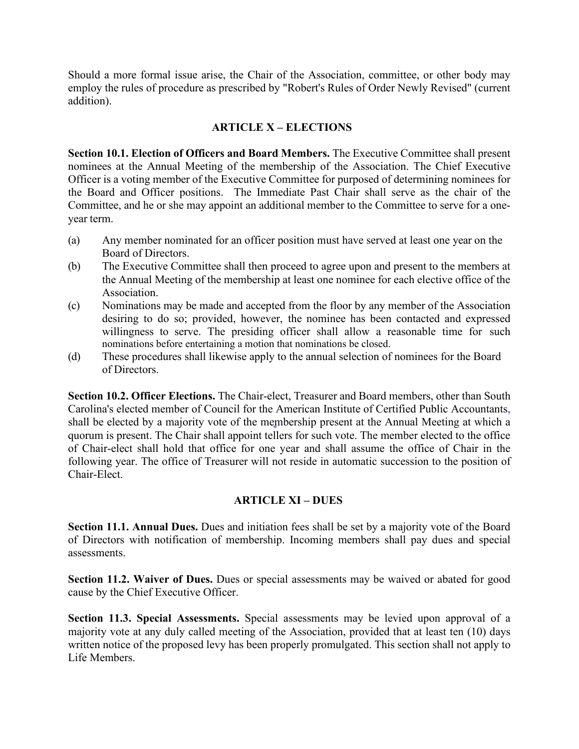Should a more formal issue arise, the Chair of the Association, committee, or other body may employ the rules of procedure as prescribed by "Robert's Rules of Order Newly Revised" (current addition).

### **ARTICLE X – ELECTIONS**

**Section 10.1. Election of Officers and Board Members.** The Executive Committee shall present nominees at the Annual Meeting of the membership of the Association. The Chief Executive Officer is a voting member of the Executive Committee for purposed of determining nominees for the Board and Officer positions. The Immediate Past Chair shall serve as the chair of the Committee, and he or she may appoint an additional member to the Committee to serve for a oneyear term.

- (a) Any member nominated for an officer position must have served at least one year on the Board of Directors.
- (b) The Executive Committee shall then proceed to agree upon and present to the members at the Annual Meeting of the membership at least one nominee for each elective office of the Association.
- (c) Nominations may be made and accepted from the floor by any member of the Association desiring to do so; provided, however, the nominee has been contacted and expressed willingness to serve. The presiding officer shall allow a reasonable time for such nominations before entertaining a motion that nominations be closed.
- (d) These procedures shall likewise apply to the annual selection of nominees for the Board of Directors.

**Section 10.2. Officer Elections.** The Chair-elect, Treasurer and Board members, other than South Carolina's elected member of Council for the American Institute of Certified Public Accountants, shall be elected by a majority vote of the membership present at the Annual Meeting at which a quorum is present. The Chair shall appoint tellers for such vote. The member elected to the office of Chair-elect shall hold that office for one year and shall assume the office of Chair in the following year. The office of Treasurer will not reside in automatic succession to the position of Chair-Elect.

### **ARTICLE XI – DUES**

**Section 11.1. Annual Dues.** Dues and initiation fees shall be set by a majority vote of the Board of Directors with notification of membership. Incoming members shall pay dues and special assessments.

**Section 11.2. Waiver of Dues.** Dues or special assessments may be waived or abated for good cause by the Chief Executive Officer.

**Section 11.3. Special Assessments.** Special assessments may be levied upon approval of a majority vote at any duly called meeting of the Association, provided that at least ten (10) days written notice of the proposed levy has been properly promulgated. This section shall not apply to Life Members.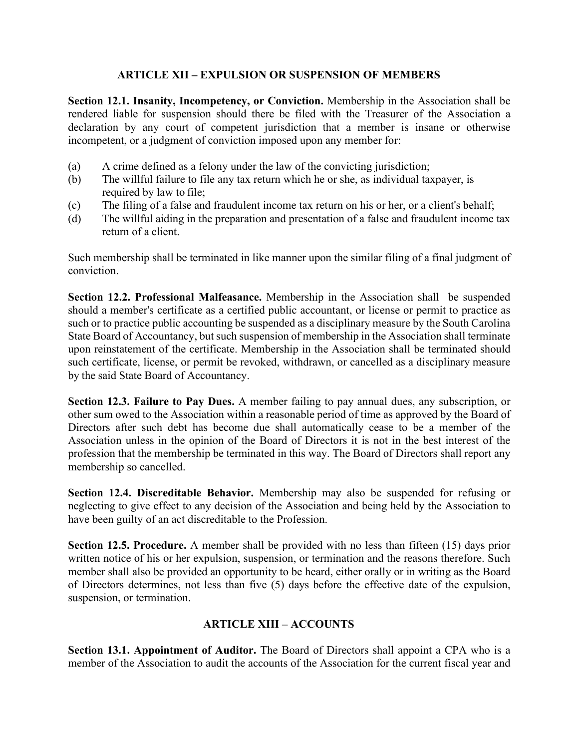### **ARTICLE XII – EXPULSION OR SUSPENSION OF MEMBERS**

**Section 12.1. Insanity, Incompetency, or Conviction.** Membership in the Association shall be rendered liable for suspension should there be filed with the Treasurer of the Association a declaration by any court of competent jurisdiction that a member is insane or otherwise incompetent, or a judgment of conviction imposed upon any member for:

- (a) A crime defined as a felony under the law of the convicting jurisdiction;
- (b) The willful failure to file any tax return which he or she, as individual taxpayer, is required by law to file;
- (c) The filing of a false and fraudulent income tax return on his or her, or a client's behalf;
- (d) The willful aiding in the preparation and presentation of a false and fraudulent income tax return of a client.

Such membership shall be terminated in like manner upon the similar filing of a final judgment of conviction.

**Section 12.2. Professional Malfeasance.** Membership in the Association shall be suspended should a member's certificate as a certified public accountant, or license or permit to practice as such or to practice public accounting be suspended as a disciplinary measure by the South Carolina State Board of Accountancy, but such suspension of membership in the Association shall terminate upon reinstatement of the certificate. Membership in the Association shall be terminated should such certificate, license, or permit be revoked, withdrawn, or cancelled as a disciplinary measure by the said State Board of Accountancy.

**Section 12.3. Failure to Pay Dues.** A member failing to pay annual dues, any subscription, or other sum owed to the Association within a reasonable period of time as approved by the Board of Directors after such debt has become due shall automatically cease to be a member of the Association unless in the opinion of the Board of Directors it is not in the best interest of the profession that the membership be terminated in this way. The Board of Directors shall report any membership so cancelled.

**Section 12.4. Discreditable Behavior.** Membership may also be suspended for refusing or neglecting to give effect to any decision of the Association and being held by the Association to have been guilty of an act discreditable to the Profession.

**Section 12.5. Procedure.** A member shall be provided with no less than fifteen (15) days prior written notice of his or her expulsion, suspension, or termination and the reasons therefore. Such member shall also be provided an opportunity to be heard, either orally or in writing as the Board of Directors determines, not less than five (5) days before the effective date of the expulsion, suspension, or termination.

### **ARTICLE XIII – ACCOUNTS**

**Section 13.1. Appointment of Auditor.** The Board of Directors shall appoint a CPA who is a member of the Association to audit the accounts of the Association for the current fiscal year and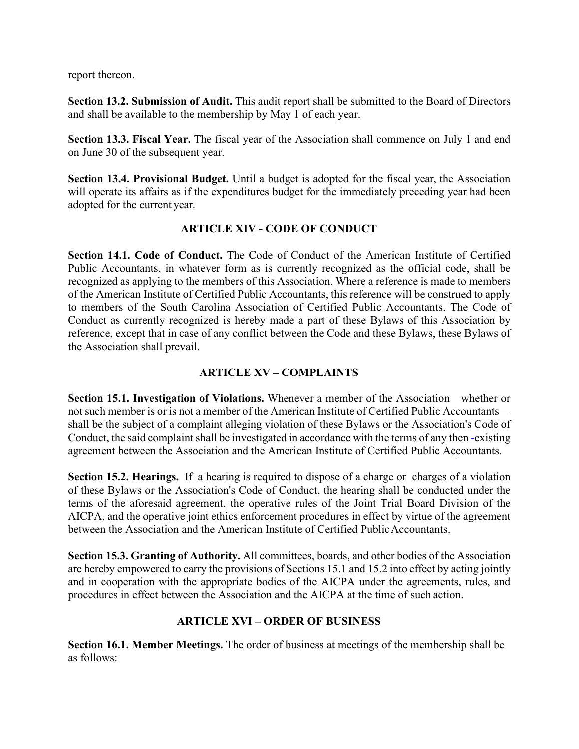report thereon.

**Section 13.2. Submission of Audit.** This audit report shall be submitted to the Board of Directors and shall be available to the membership by May 1 of each year.

**Section 13.3. Fiscal Year.** The fiscal year of the Association shall commence on July 1 and end on June 30 of the subsequent year.

**Section 13.4. Provisional Budget.** Until a budget is adopted for the fiscal year, the Association will operate its affairs as if the expenditures budget for the immediately preceding year had been adopted for the current year.

### **ARTICLE XIV - CODE OF CONDUCT**

**Section 14.1. Code of Conduct.** The Code of Conduct of the American Institute of Certified Public Accountants, in whatever form as is currently recognized as the official code, shall be recognized as applying to the members of this Association. Where a reference is made to members of the American Institute of Certified Public Accountants, this reference will be construed to apply to members of the South Carolina Association of Certified Public Accountants. The Code of Conduct as currently recognized is hereby made a part of these Bylaws of this Association by reference, except that in case of any conflict between the Code and these Bylaws, these Bylaws of the Association shall prevail.

#### **ARTICLE XV – COMPLAINTS**

**Section 15.1. Investigation of Violations.** Whenever a member of the Association—whether or not such member is or is not a member of the American Institute of Certified Public Accountants shall be the subject of a complaint alleging violation of these Bylaws or the Association's Code of Conduct, the said complaint shall be investigated in accordance with the terms of any then -existing agreement between the Association and the American Institute of Certified Public Accountants.

**Section 15.2. Hearings.** If a hearing is required to dispose of a charge or charges of a violation of these Bylaws or the Association's Code of Conduct, the hearing shall be conducted under the terms of the aforesaid agreement, the operative rules of the Joint Trial Board Division of the AICPA, and the operative joint ethics enforcement procedures in effect by virtue of the agreement between the Association and the American Institute of Certified Public Accountants.

**Section 15.3. Granting of Authority.** All committees, boards, and other bodies of the Association are hereby empowered to carry the provisions of Sections 15.1 and 15.2 into effect by acting jointly and in cooperation with the appropriate bodies of the AICPA under the agreements, rules, and procedures in effect between the Association and the AICPA at the time of such action.

### **ARTICLE XVI – ORDER OF BUSINESS**

**Section 16.1. Member Meetings.** The order of business at meetings of the membership shall be as follows: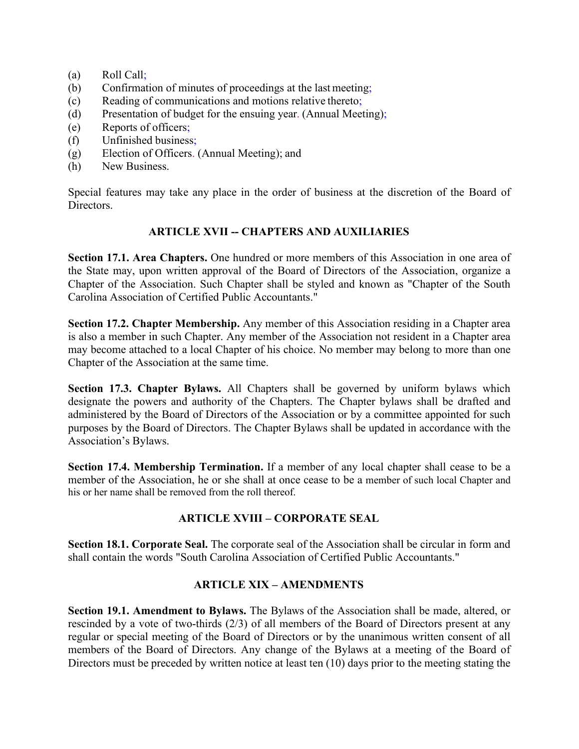- (a) Roll Call;
- (b) Confirmation of minutes of proceedings at the last meeting;
- (c) Reading of communications and motions relative thereto;
- (d) Presentation of budget for the ensuing year. (Annual Meeting);
- (e) Reports of officers;
- (f) Unfinished business;
- (g) Election of Officers. (Annual Meeting); and
- (h) New Business.

Special features may take any place in the order of business at the discretion of the Board of **Directors** 

#### **ARTICLE XVII -- CHAPTERS AND AUXILIARIES**

**Section 17.1. Area Chapters.** One hundred or more members of this Association in one area of the State may, upon written approval of the Board of Directors of the Association, organize a Chapter of the Association. Such Chapter shall be styled and known as "Chapter of the South Carolina Association of Certified Public Accountants."

**Section 17.2. Chapter Membership.** Any member of this Association residing in a Chapter area is also a member in such Chapter. Any member of the Association not resident in a Chapter area may become attached to a local Chapter of his choice. No member may belong to more than one Chapter of the Association at the same time.

**Section 17.3. Chapter Bylaws.** All Chapters shall be governed by uniform bylaws which designate the powers and authority of the Chapters. The Chapter bylaws shall be drafted and administered by the Board of Directors of the Association or by a committee appointed for such purposes by the Board of Directors. The Chapter Bylaws shall be updated in accordance with the Association's Bylaws.

**Section 17.4. Membership Termination.** If a member of any local chapter shall cease to be a member of the Association, he or she shall at once cease to be a member of such local Chapter and his or her name shall be removed from the roll thereof.

#### **ARTICLE XVIII – CORPORATE SEAL**

**Section 18.1. Corporate Seal.** The corporate seal of the Association shall be circular in form and shall contain the words "South Carolina Association of Certified Public Accountants."

#### **ARTICLE XIX – AMENDMENTS**

**Section 19.1. Amendment to Bylaws.** The Bylaws of the Association shall be made, altered, or rescinded by a vote of two-thirds (2/3) of all members of the Board of Directors present at any regular or special meeting of the Board of Directors or by the unanimous written consent of all members of the Board of Directors. Any change of the Bylaws at a meeting of the Board of Directors must be preceded by written notice at least ten (10) days prior to the meeting stating the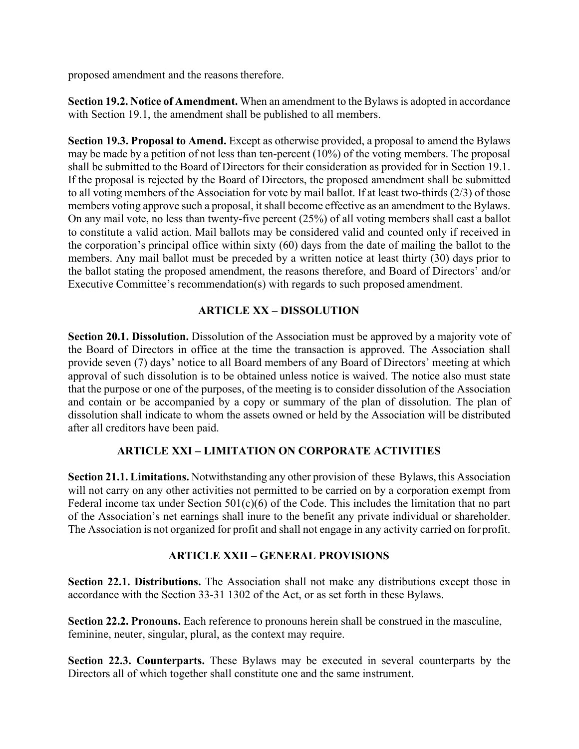proposed amendment and the reasons therefore.

**Section 19.2. Notice of Amendment.** When an amendment to the Bylaws is adopted in accordance with Section 19.1, the amendment shall be published to all members.

**Section 19.3. Proposal to Amend.** Except as otherwise provided, a proposal to amend the Bylaws may be made by a petition of not less than ten-percent (10%) of the voting members. The proposal shall be submitted to the Board of Directors for their consideration as provided for in Section 19.1. If the proposal is rejected by the Board of Directors, the proposed amendment shall be submitted to all voting members of the Association for vote by mail ballot. If at least two-thirds (2/3) of those members voting approve such a proposal, it shall become effective as an amendment to the Bylaws. On any mail vote, no less than twenty-five percent (25%) of all voting members shall cast a ballot to constitute a valid action. Mail ballots may be considered valid and counted only if received in the corporation's principal office within sixty (60) days from the date of mailing the ballot to the members. Any mail ballot must be preceded by a written notice at least thirty (30) days prior to the ballot stating the proposed amendment, the reasons therefore, and Board of Directors' and/or Executive Committee's recommendation(s) with regards to such proposed amendment.

# **ARTICLE XX – DISSOLUTION**

**Section 20.1. Dissolution.** Dissolution of the Association must be approved by a majority vote of the Board of Directors in office at the time the transaction is approved. The Association shall provide seven (7) days' notice to all Board members of any Board of Directors' meeting at which approval of such dissolution is to be obtained unless notice is waived. The notice also must state that the purpose or one of the purposes, of the meeting is to consider dissolution of the Association and contain or be accompanied by a copy or summary of the plan of dissolution. The plan of dissolution shall indicate to whom the assets owned or held by the Association will be distributed after all creditors have been paid.

### **ARTICLE XXI – LIMITATION ON CORPORATE ACTIVITIES**

**Section 21.1. Limitations.** Notwithstanding any other provision of these Bylaws, this Association will not carry on any other activities not permitted to be carried on by a corporation exempt from Federal income tax under Section 501(c)(6) of the Code. This includes the limitation that no part of the Association's net earnings shall inure to the benefit any private individual or shareholder. The Association is not organized for profit and shall not engage in any activity carried on for profit.

# **ARTICLE XXII – GENERAL PROVISIONS**

**Section 22.1. Distributions.** The Association shall not make any distributions except those in accordance with the Section 33-31 1302 of the Act, or as set forth in these Bylaws.

**Section 22.2. Pronouns.** Each reference to pronouns herein shall be construed in the masculine, feminine, neuter, singular, plural, as the context may require.

**Section 22.3. Counterparts.** These Bylaws may be executed in several counterparts by the Directors all of which together shall constitute one and the same instrument.